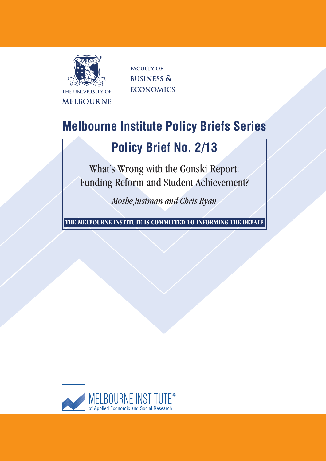

**FACULTY OF BUSINESS & ECONOMICS** 

# **Melbourne Institute Policy Briefs Series**

## **Policy Brief No. 2/13**

What's Wrong with the Gonski Report: Funding Reform and Student Achievement?

*Moshe Justman and Chris Ryan*

**THE MELBOURNE INSTITUTE IS COMMITTED TO INFORMING THE DEBATE**

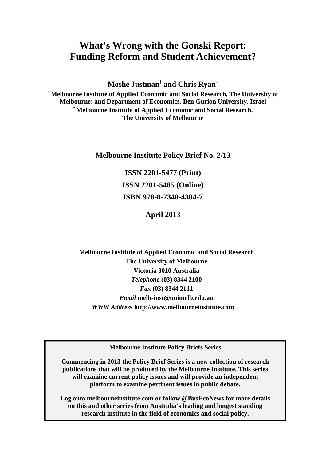### **What's Wrong with the Gonski Report: Funding Reform and Student Achievement?**

**Moshe Justman† and Chris Ryan‡**

**† Melbourne Institute of Applied Economic and Social Research, The University of Melbourne; and Department of Economics, Ben Gurion University, Israel ‡ Melbourne Institute of Applied Economic and Social Research, The University of Melbourne** 

**Melbourne Institute Policy Brief No. 2/13**

**ISSN 2201-5477 (Print) ISSN 2201-5485 (Online) ISBN 978-0-7340-4304-7**

**April 2013**

**Melbourne Institute of Applied Economic and Social Research The University of Melbourne Victoria 3010 Australia**  *Telephone* **(03) 8344 2100**  *Fax* **(03) 8344 2111**  *Email* **melb-inst@unimelb.edu.au**  *WWW Address* **http://www.melbourneinstitute.com** 

**Melbourne Institute Policy Briefs Series**

**Commencing in 2013 the Policy Brief Series is a new collection of research publications that will be produced by the Melbourne Institute. This series will examine current policy issues and will provide an independent platform to examine pertinent issues in public debate.**

**Log onto melbourneinstitute.com or follow @BusEcoNews for more details on this and other series from Australia's leading and longest standing research institute in the field of economics and social policy.**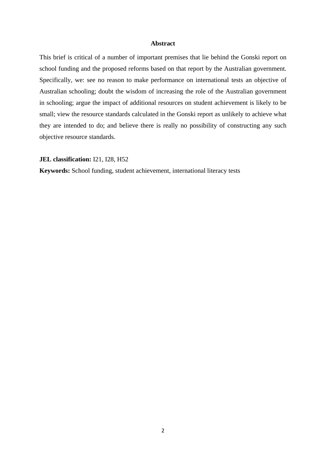### **Abstract**

This brief is critical of a number of important premises that lie behind the Gonski report on school funding and the proposed reforms based on that report by the Australian government. Specifically, we: see no reason to make performance on international tests an objective of Australian schooling; doubt the wisdom of increasing the role of the Australian government in schooling; argue the impact of additional resources on student achievement is likely to be small; view the resource standards calculated in the Gonski report as unlikely to achieve what they are intended to do; and believe there is really no possibility of constructing any such objective resource standards.

**JEL classification:** I21, I28, H52

**Keywords:** School funding, student achievement, international literacy tests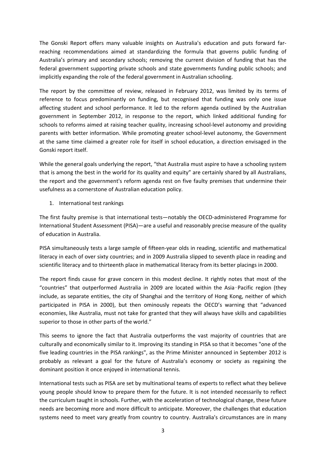The Gonski Report offers many valuable insights on Australia's education and puts forward far‐ reaching recommendations aimed at standardizing the formula that governs public funding of Australia's primary and secondary schools; removing the current division of funding that has the federal government supporting private schools and state governments funding public schools; and implicitly expanding the role of the federal government in Australian schooling.

The report by the committee of review, released in February 2012, was limited by its terms of reference to focus predominantly on funding, but recognised that funding was only one issue affecting student and school performance. It led to the reform agenda outlined by the Australian government in September 2012, in response to the report, which linked additional funding for schools to reforms aimed at raising teacher quality, increasing school-level autonomy and providing parents with better information. While promoting greater school-level autonomy, the Government at the same time claimed a greater role for itself in school education, a direction envisaged in the Gonski report itself.

While the general goals underlying the report, "that Australia must aspire to have a schooling system that is among the best in the world for its quality and equity" are certainly shared by all Australians, the report and the government's reform agenda rest on five faulty premises that undermine their usefulness as a cornerstone of Australian education policy.

1. International test rankings

The first faulty premise is that international tests—notably the OECD‐administered Programme for International Student Assessment (PISA)—are a useful and reasonably precise measure of the quality of education in Australia.

PISA simultaneously tests a large sample of fifteen‐year olds in reading, scientific and mathematical literacy in each of over sixty countries; and in 2009 Australia slipped to seventh place in reading and scientific literacy and to thirteenth place in mathematical literacy from its better placings in 2000.

The report finds cause for grave concern in this modest decline. It rightly notes that most of the "countries" that outperformed Australia in 2009 are located within the Asia–Pacific region (they include, as separate entities, the city of Shanghai and the territory of Hong Kong, neither of which participated in PISA in 2000), but then ominously repeats the OECD's warning that "advanced economies, like Australia, must not take for granted that they will always have skills and capabilities superior to those in other parts of the world."

This seems to ignore the fact that Australia outperforms the vast majority of countries that are culturally and economically similar to it. Improving its standing in PISA so that it becomes "one of the five leading countries in the PISA rankings", as the Prime Minister announced in September 2012 is probably as relevant a goal for the future of Australia's economy or society as regaining the dominant position it once enjoyed in international tennis.

International tests such as PISA are set by multinational teams of experts to reflect what they believe young people should know to prepare them for the future. It is not intended necessarily to reflect the curriculum taught in schools. Further, with the acceleration of technological change, these future needs are becoming more and more difficult to anticipate. Moreover, the challenges that education systems need to meet vary greatly from country to country. Australia's circumstances are in many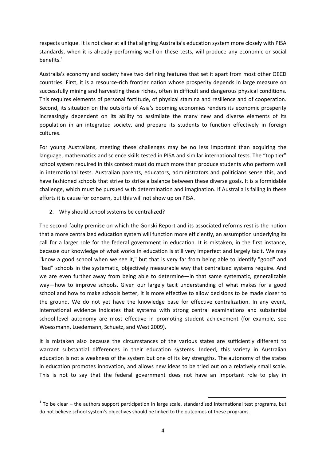respects unique. It is not clear at all that aligning Australia's education system more closely with PISA standards, when it is already performing well on these tests, will produce any economic or social benefits.<sup>1</sup>

Australia's economy and society have two defining features that set it apart from most other OECD countries. First, it is a resource‐rich frontier nation whose prosperity depends in large measure on successfully mining and harvesting these riches, often in difficult and dangerous physical conditions. This requires elements of personal fortitude, of physical stamina and resilience and of cooperation. Second, its situation on the outskirts of Asia's booming economies renders its economic prosperity increasingly dependent on its ability to assimilate the many new and diverse elements of its population in an integrated society, and prepare its students to function effectively in foreign cultures.

For young Australians, meeting these challenges may be no less important than acquiring the language, mathematics and science skills tested in PISA and similar international tests. The "top tier" school system required in this context must do much more than produce students who perform well in international tests. Australian parents, educators, administrators and politicians sense this, and have fashioned schools that strive to strike a balance between these diverse goals. It is a formidable challenge, which must be pursued with determination and imagination. If Australia is failing in these efforts it is cause for concern, but this will not show up on PISA.

2. Why should school systems be centralized?

The second faulty premise on which the Gonski Report and its associated reforms rest is the notion that a more centralized education system will function more efficiently, an assumption underlying its call for a larger role for the federal government in education. It is mistaken, in the first instance, because our knowledge of what works in education is still very imperfect and largely tacit. We may "know a good school when we see it," but that is very far from being able to identify "good" and "bad" schools in the systematic, objectively measurable way that centralized systems require. And we are even further away from being able to determine—in that same systematic, generalizable way—how to improve schools. Given our largely tacit understanding of what makes for a good school and how to make schools better, it is more effective to allow decisions to be made closer to the ground. We do not yet have the knowledge base for effective centralization. In any event, international evidence indicates that systems with strong central examinations and substantial school-level autonomy are most effective in promoting student achievement (for example, see Woessmann, Luedemann, Schuetz, and West 2009).

It is mistaken also because the circumstances of the various states are sufficiently different to warrant substantial differences in their education systems. Indeed, this variety in Australian education is not a weakness of the system but one of its key strengths. The autonomy of the states in education promotes innovation, and allows new ideas to be tried out on a relatively small scale. This is not to say that the federal government does not have an important role to play in

 $1$  To be clear – the authors support participation in large scale, standardised international test programs, but do not believe school system's objectives should be linked to the outcomes of these programs.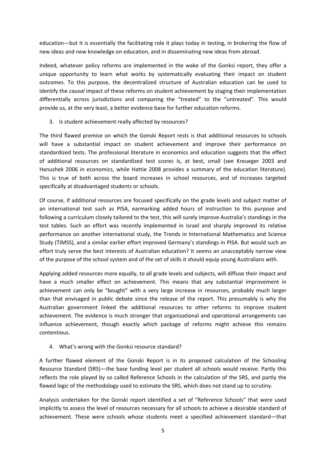education—but it is essentially the facilitating role it plays today in testing, in brokering the flow of new ideas and new knowledge on education, and in disseminating new ideas from abroad.

Indeed, whatever policy reforms are implemented in the wake of the Gonksi report, they offer a unique opportunity to learn what works by systematically evaluating their impact on student outcomes. To this purpose, the decentralized structure of Australian education can be used to identify the *causal* impact of these reforms on student achievement by staging their implementation differentially across jurisdictions and comparing the "treated" to the "untreated". This would provide us, at the very least, a better evidence base for further education reforms.

3. Is student achievement really affected by resources?

The third flawed premise on which the Gonski Report rests is that additional resources to schools will have a substantial impact on student achievement and improve their performance on standardized tests. The professional literature in economics and education suggests that the effect of additional resources on standardized test scores is, at best, small (see Kreueger 2003 and Hanushek 2006 in economics, while Hattie 2008 provides a summary of the education literature). This is true of both across the board increases in school resources, and of increases targeted specifically at disadvantaged students or schools.

Of course, if additional resources are focused specifically on the grade levels and subject matter of an international test such as PISA, earmarking added hours of instruction to this purpose and following a curriculum closely tailored to the test, this will surely improve Australia's standings in the test tables. Such an effort was recently implemented in Israel and sharply improved its relative performance on another international study, the Trends in International Mathematics and Science Study (TIMSS), and a similar earlier effort improved Germany's standings in PISA. But would such an effort truly serve the best interests of Australian education? It seems an unacceptably narrow view of the purpose of the school system and of the set of skills it should equip young Australians with.

Applying added resources more equally, to all grade levels and subjects, will diffuse their impact and have a much smaller effect on achievement. This means that any substantial improvement in achievement can only be "bought" with a very large increase in resources, probably much larger than that envisaged in public debate since the release of the report. This presumably is why the Australian government linked the additional resources to other reforms to improve student achievement. The evidence is much stronger that organizational and operational arrangements can influence achievement, though exactly which package of reforms might achieve this remains contentious.

4. What's wrong with the Gonksi resource standard?

A further flawed element of the Gonski Report is in its proposed calculation of the Schooling Resource Standard (SRS)—the base funding level per student all schools would receive. Partly this reflects the role played by so called Reference Schools in the calculation of the SRS, and partly the flawed logic of the methodology used to estimate the SRS, which does not stand up to scrutiny.

Analysis undertaken for the Gonski report identified a set of "Reference Schools" that were used implicitly to assess the level of resources necessary for all schools to achieve a desirable standard of achievement. These were schools whose students meet a specified achievement standard—that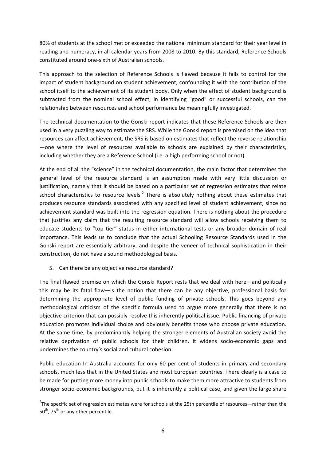80% of students at the school met or exceeded the national minimum standard for their year level in reading and numeracy, in all calendar years from 2008 to 2010. By this standard, Reference Schools constituted around one‐sixth of Australian schools.

This approach to the selection of Reference Schools is flawed because it fails to control for the impact of student background on student achievement, confounding it with the contribution of the school itself to the achievement of its student body. Only when the effect of student background is subtracted from the nominal school effect, in identifying "good" or successful schools, can the relationship between resources and school performance be meaningfully investigated.

The technical documentation to the Gonski report indicates that these Reference Schools are then used in a very puzzling way to estimate the SRS. While the Gonski report is premised on the idea that resources can affect achievement, the SRS is based on estimates that reflect the reverse relationship —one where the level of resources available to schools are explained by their characteristics, including whether they are a Reference School (i.e. a high performing school or not)*.*

At the end of all the "science" in the technical documentation, the main factor that determines the general level of the resource standard is an assumption made with very little discussion or justification, namely that it should be based on a particular set of regression estimates that relate school characteristics to resource levels.<sup>2</sup> There is absolutely nothing about these estimates that produces resource standards associated with any specified level of student achievement, since no achievement standard was built into the regression equation. There is nothing about the procedure that justifies any claim that the resulting resource standard will allow schools receiving them to educate students to "top tier" status in either international tests or any broader domain of real importance. This leads us to conclude that the actual Schooling Resource Standards used in the Gonski report are essentially arbitrary, and despite the veneer of technical sophistication in their construction, do not have a sound methodological basis.

5. Can there be any objective resource standard?

The final flawed premise on which the Gonski Report rests that we deal with here—and politically this may be its fatal flaw—is the notion that there can be any objective, professional basis for determining the appropriate level of public funding of private schools. This goes beyond any methodological criticism of the specific formula used to argue more generally that there is no objective criterion that can possibly resolve this inherently political issue. Public financing of private education promotes individual choice and obviously benefits those who choose private education. At the same time, by predominantly helping the stronger elements of Australian society avoid the relative deprivation of public schools for their children, it widens socio‐economic gaps and undermines the country's social and cultural cohesion.

Public education In Australia accounts for only 60 per cent of students in primary and secondary schools, much less that in the United States and most European countries. There clearly is a case to be made for putting more money into public schools to make them more attractive to students from stronger socio‐economic backgrounds, but it is inherently a political case, and given the large share

<sup>&</sup>lt;sup>2</sup>The specific set of regression estimates were for schools at the 25th percentile of resources—rather than the  $50^{th}$ , 75<sup>th</sup> or any other percentile.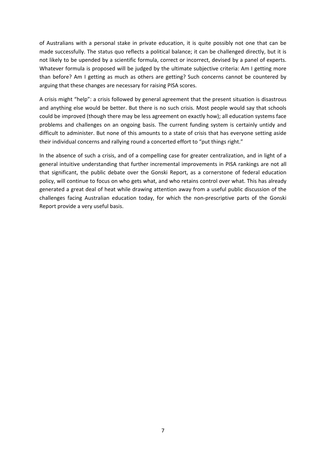of Australians with a personal stake in private education, it is quite possibly not one that can be made successfully. The status quo reflects a political balance; it can be challenged directly, but it is not likely to be upended by a scientific formula, correct or incorrect, devised by a panel of experts. Whatever formula is proposed will be judged by the ultimate subjective criteria: Am I getting more than before? Am I getting as much as others are getting? Such concerns cannot be countered by arguing that these changes are necessary for raising PISA scores.

A crisis might "help": a crisis followed by general agreement that the present situation is disastrous and anything else would be better. But there is no such crisis. Most people would say that schools could be improved (though there may be less agreement on exactly how); all education systems face problems and challenges on an ongoing basis. The current funding system is certainly untidy and difficult to administer. But none of this amounts to a state of crisis that has everyone setting aside their individual concerns and rallying round a concerted effort to "put things right."

In the absence of such a crisis, and of a compelling case for greater centralization, and in light of a general intuitive understanding that further incremental improvements in PISA rankings are not all that significant, the public debate over the Gonski Report, as a cornerstone of federal education policy, will continue to focus on who gets what, and who retains control over what. This has already generated a great deal of heat while drawing attention away from a useful public discussion of the challenges facing Australian education today, for which the non-prescriptive parts of the Gonski Report provide a very useful basis.